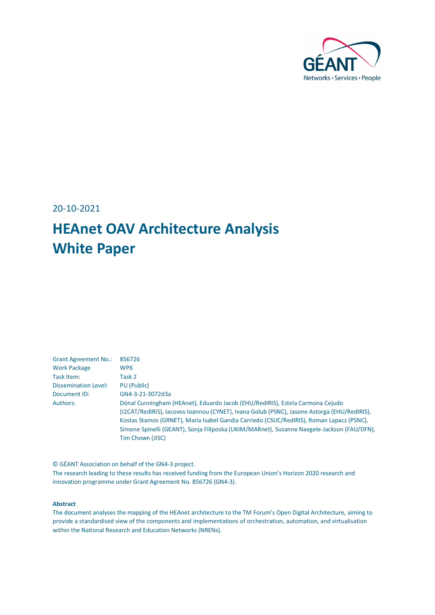

20-10-2021

## **HEAnet OAV Architecture Analysis White Paper**

| <b>Grant Agreement No.:</b> | 856726                                                                                                                                                                       |
|-----------------------------|------------------------------------------------------------------------------------------------------------------------------------------------------------------------------|
| <b>Work Package</b>         | WP <sub>6</sub>                                                                                                                                                              |
| Task Item:                  | Task 2                                                                                                                                                                       |
| Dissemination Level:        | PU (Public)                                                                                                                                                                  |
| Document ID:                | GN4-3-21-3072d3a                                                                                                                                                             |
| Authors:                    | Dónal Cunningham (HEAnet), Eduardo Jacob (EHU/RedIRIS), Estela Carmona Cejudo<br>(I2CAT/RedIRIS), Iacovos Ioannou (CYNET), Ivana Golub (PSNC), Jasone Astorga (EHU/RedIRIS), |
|                             | Kostas Stamos (GRNET), Maria Isabel Gandia Carriedo (CSUC/RedIRIS), Roman Lapacz (PSNC),                                                                                     |
|                             | Simone Spinelli (GEANT), Sonja Filiposka (UKIM/MARnet), Susanne Naegele-Jackson (FAU/DFN),                                                                                   |
|                             | Tim Chown (JISC)                                                                                                                                                             |

© GÉANT Association on behalf of the GN4-3 project. The research leading to these results has received funding from the European Union's Horizon 2020 research and innovation programme under Grant Agreement No. 856726 (GN4-3).

#### **Abstract**

The document analyses the mapping of the HEAnet architecture to the TM Forum's Open Digital Architecture, aiming to provide a standardised view of the components and implementations of orchestration, automation, and virtualisation within the National Research and Education Networks (NRENs).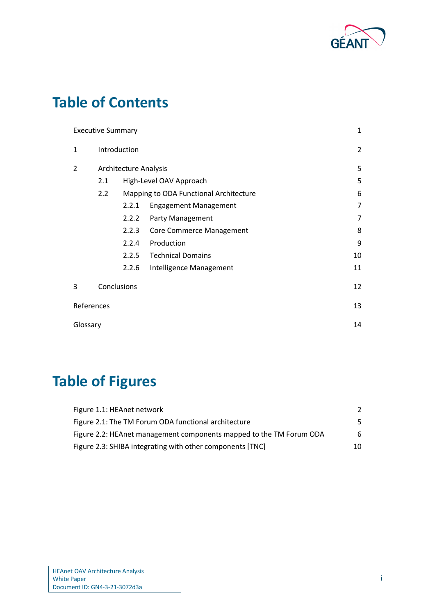

## **Table of Contents**

|                | <b>Executive Summary</b>       |                              |                                        | 1  |
|----------------|--------------------------------|------------------------------|----------------------------------------|----|
| $\mathbf{1}$   | Introduction                   |                              |                                        | 2  |
| $\overline{2}$ |                                | <b>Architecture Analysis</b> |                                        | 5  |
|                | 2.1<br>High-Level OAV Approach |                              | 5                                      |    |
|                | 2.2                            |                              | Mapping to ODA Functional Architecture | 6  |
|                |                                | 2.2.1                        | <b>Engagement Management</b>           | 7  |
|                |                                | 2.2.2                        | Party Management                       | 7  |
|                |                                | 2.2.3                        | <b>Core Commerce Management</b>        | 8  |
|                |                                | 2.2.4                        | Production                             | 9  |
|                |                                | 2.2.5                        | <b>Technical Domains</b>               | 10 |
|                |                                | 2.2.6                        | Intelligence Management                | 11 |
| 3              |                                | Conclusions                  |                                        | 12 |
| References     |                                |                              |                                        | 13 |
| Glossary       |                                |                              |                                        | 14 |

# **Table of Figures**

| Figure 1.1: HEAnet network                                          |     |
|---------------------------------------------------------------------|-----|
| Figure 2.1: The TM Forum ODA functional architecture                | 5.  |
| Figure 2.2: HEAnet management components mapped to the TM Forum ODA | 6   |
| Figure 2.3: SHIBA integrating with other components [TNC]           | 10. |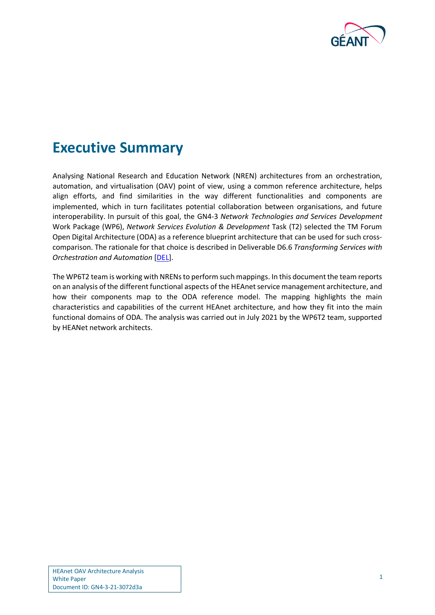

### <span id="page-2-0"></span>**Executive Summary**

Analysing National Research and Education Network (NREN) architectures from an orchestration, automation, and virtualisation (OAV) point of view, using a common reference architecture, helps align efforts, and find similarities in the way different functionalities and components are implemented, which in turn facilitates potential collaboration between organisations, and future interoperability. In pursuit of this goal, the GN4-3 *Network Technologies and Services Development* Work Package (WP6), *Network Services Evolution & Development* Task (T2) selected the TM Forum Open Digital Architecture (ODA) as a reference blueprint architecture that can be used for such crosscomparison. The rationale for that choice is described in Deliverable D6.6 *Transforming Services with Orchestration and Automation* [\[DEL\]](#page-14-1).

The WP6T2 team is working with NRENs to perform such mappings. In this document the team reports on an analysis of the different functional aspects of the HEAnet service management architecture, and how their components map to the ODA reference model. The mapping highlights the main characteristics and capabilities of the current HEAnet architecture, and how they fit into the main functional domains of ODA. The analysis was carried out in July 2021 by the WP6T2 team, supported by HEANet network architects.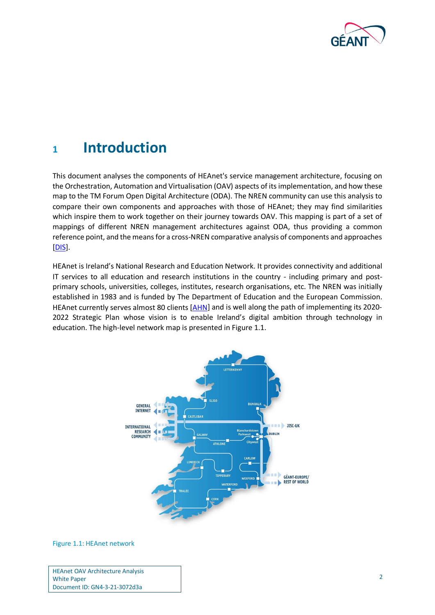

### <span id="page-3-0"></span>**<sup>1</sup> Introduction**

This document analyses the components of HEAnet's service management architecture, focusing on the Orchestration, Automation and Virtualisation (OAV) aspects of its implementation, and how these map to the TM Forum Open Digital Architecture (ODA). The NREN community can use this analysis to compare their own components and approaches with those of HEAnet; they may find similarities which inspire them to work together on their journey towards OAV. This mapping is part of a set of mappings of different NREN management architectures against ODA, thus providing a common reference point, and the means for a cross-NREN comparative analysis of components and approaches [\[DIS\]](#page-14-2).

HEAnet is Ireland's National Research and Education Network. It provides connectivity and additional IT services to all education and research institutions in the country - including primary and postprimary schools, universities, colleges, institutes, research organisations, etc. The NREN was initially established in 1983 and is funded by The Department of Education and the European Commission. HEAnet currently serves almost 80 clients [\[AHN\]](#page-14-3) and is well along the path of implementing its 2020-2022 Strategic Plan whose vision is to enable Ireland's digital ambition through technology in education. The high-level network map is presented i[n Figure 1.1.](#page-3-1)



#### <span id="page-3-1"></span>Figure 1.1: HEAnet network

HEAnet OAV Architecture Analysis White Paper Document ID: GN4-3-21-3072d3a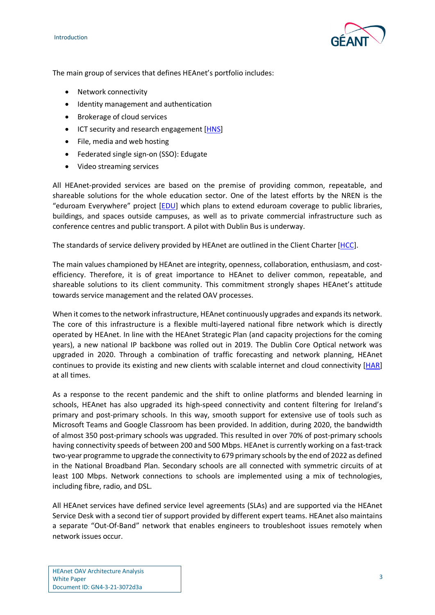Introduction



The main group of services that defines HEAnet's portfolio includes:

- Network connectivity
- Identity management and authentication
- Brokerage of cloud services
- ICT security and research engagement [\[HNS\]](#page-14-4)
- File, media and web hosting
- Federated single sign-on (SSO): Edugate
- Video streaming services

All HEAnet-provided services are based on the premise of providing common, repeatable, and shareable solutions for the whole education sector. One of the latest efforts by the NREN is the "eduroam Everywhere" project [\[EDU\]](#page-14-5) which plans to extend eduroam coverage to public libraries, buildings, and spaces outside campuses, as well as to private commercial infrastructure such as conference centres and public transport. A pilot with Dublin Bus is underway.

The standards of service delivery provided by HEAnet are outlined in the Client Charter [\[HCC\]](#page-14-6).

The main values championed by HEAnet are integrity, openness, collaboration, enthusiasm, and costefficiency. Therefore, it is of great importance to HEAnet to deliver common, repeatable, and shareable solutions to its client community. This commitment strongly shapes HEAnet's attitude towards service management and the related OAV processes.

When it comes to the network infrastructure, HEAnet continuously upgrades and expands its network. The core of this infrastructure is a flexible multi-layered national fibre network which is directly operated by HEAnet. In line with the HEAnet Strategic Plan (and capacity projections for the coming years), a new national IP backbone was rolled out in 2019. The Dublin Core Optical network was upgraded in 2020. Through a combination of traffic forecasting and network planning, HEAnet continues to provide its existing and new clients with scalable internet and cloud connectivity [\[HAR\]](#page-14-7) at all times.

As a response to the recent pandemic and the shift to online platforms and blended learning in schools, HEAnet has also upgraded its high-speed connectivity and content filtering for Ireland's primary and post-primary schools. In this way, smooth support for extensive use of tools such as Microsoft Teams and Google Classroom has been provided. In addition, during 2020, the bandwidth of almost 350 post-primary schools was upgraded. This resulted in over 70% of post-primary schools having connectivity speeds of between 200 and 500 Mbps. HEAnet is currently working on a fast-track two-year programme to upgrade the connectivity to 679 primary schools by the end of 2022 as defined in the National Broadband Plan. Secondary schools are all connected with symmetric circuits of at least 100 Mbps. Network connections to schools are implemented using a mix of technologies, including fibre, radio, and DSL.

All HEAnet services have defined service level agreements (SLAs) and are supported via the HEAnet Service Desk with a second tier of support provided by different expert teams. HEAnet also maintains a separate "Out-Of-Band" network that enables engineers to troubleshoot issues remotely when network issues occur.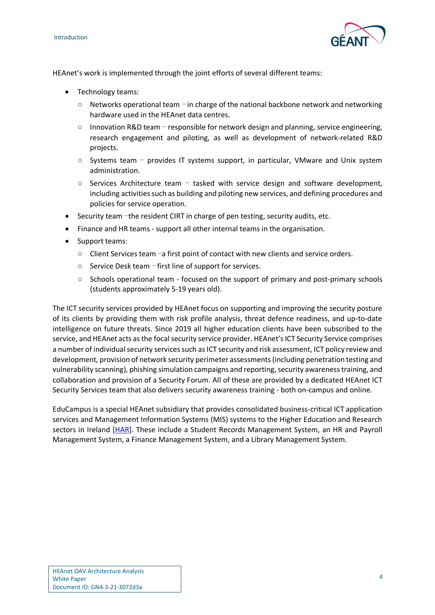

HEAnet's work is implemented through the joint efforts of several different teams:

- Technology teams:
	- $\circ$  Networks operational team in charge of the national backbone network and networking hardware used in the HEAnet data centres.
	- Innovation R&D team responsible for network design and planning, service engineering, research engagement and piloting, as well as development of network-related R&D projects.
	- $\circ$  Systems team provides IT systems support, in particular, VMware and Unix system administration.
	- $\circ$  Services Architecture team tasked with service design and software development, including activities such as building and piloting new services, and defining procedures and policies for service operation.
- Security team –the resident CIRT in charge of pen testing, security audits, etc.
- Finance and HR teams support all other internal teams in the organisation.
- Support teams:
	- Client Services team –a first point of contact with new clients and service orders.
	- Service Desk team first line of support for services.
	- Schools operational team focused on the support of primary and post-primary schools (students approximately 5-19 years old).

The ICT security services provided by HEAnet focus on supporting and improving the security posture of its clients by providing them with risk profile analysis, threat defence readiness, and up-to-date intelligence on future threats. Since 2019 all higher education clients have been subscribed to the service, and HEAnet acts as the focal security service provider. HEAnet's ICT Security Service comprises a number of individual security services such as ICT security and risk assessment, ICT policy review and development, provision of network security perimeter assessments (including penetration testing and vulnerability scanning), phishing simulation campaigns and reporting, security awareness training, and collaboration and provision of a Security Forum. All of these are provided by a dedicated HEAnet ICT Security Services team that also delivers security awareness training - both on-campus and online.

EduCampus is a special HEAnet subsidiary that provides consolidated business-critical ICT application services and Management Information Systems (MIS) systems to the Higher Education and Research sectors in Ireland [\[HAR\]](#page-14-7). These include a Student Records Management System, an HR and Payroll Management System, a Finance Management System, and a Library Management System.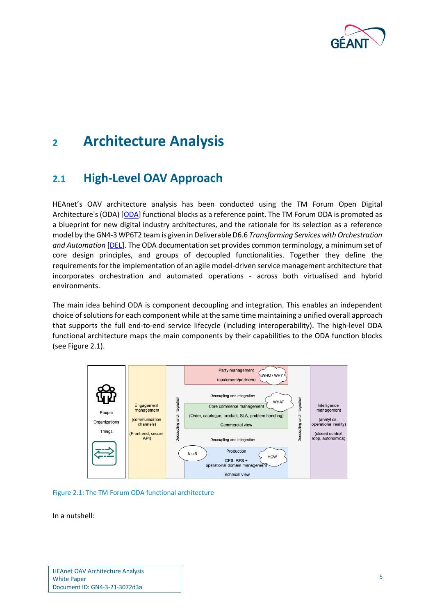

### <span id="page-6-0"></span>**<sup>2</sup> Architecture Analysis**

### <span id="page-6-1"></span>**2.1 High-Level OAV Approach**

HEAnet's OAV architecture analysis has been conducted using the TM Forum Open Digital Architecture's (ODA) [\[ODA\]](#page-14-8) functional blocks as a reference point. The TM Forum ODA is promoted as a blueprint for new digital industry architectures, and the rationale for its selection as a reference model by the GN4-3 WP6T2 team is given in Deliverable D6.6 *Transforming Services with Orchestration and Automation* [\[DEL\]](#page-14-1). The ODA documentation set provides common terminology, a minimum set of core design principles, and groups of decoupled functionalities. Together they define the requirements for the implementation of an agile model-driven service management architecture that incorporates orchestration and automated operations - across both virtualised and hybrid environments.

The main idea behind ODA is component decoupling and integration. This enables an independent choice of solutions for each component while at the same time maintaining a unified overall approach that supports the full end-to-end service lifecycle (including interoperability). The high-level ODA functional architecture maps the main components by their capabilities to the ODA function blocks (see [Figure 2.1\)](#page-6-2).



<span id="page-6-2"></span>

In a nutshell: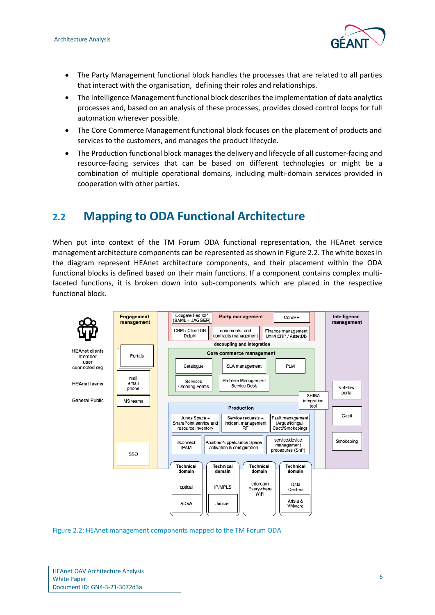

- The Party Management functional block handles the processes that are related to all parties that interact with the organisation, defining their roles and relationships.
- The Intelligence Management functional block describes the implementation of data analytics processes and, based on an analysis of these processes, provides closed control loops for full automation wherever possible.
- The Core Commerce Management functional block focuses on the placement of products and services to the customers, and manages the product lifecycle.
- The Production functional block manages the delivery and lifecycle of all customer-facing and resource-facing services that can be based on different technologies or might be a combination of multiple operational domains, including multi-domain services provided in cooperation with other parties.

### <span id="page-7-0"></span>**2.2 Mapping to ODA Functional Architecture**

When put into context of the TM Forum ODA functional representation, the HEAnet service management architecture components can be represented as shown in [Figure 2.2.](#page-7-1) The white boxes in the diagram represent HEAnet architecture components, and their placement within the ODA functional blocks is defined based on their main functions. If a component contains complex multifaceted functions, it is broken down into sub-components which are placed in the respective functional block.



<span id="page-7-1"></span>Figure 2.2: HEAnet management components mapped to the TM Forum ODA

| <b>HEAnet OAV Architecture Analysis</b> |
|-----------------------------------------|
| <b>White Paper</b>                      |
| Document ID: GN4-3-21-3072d3a           |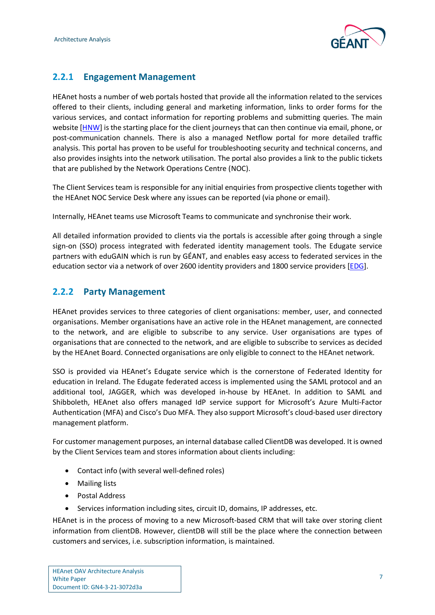

### <span id="page-8-0"></span>**2.2.1 Engagement Management**

HEAnet hosts a number of web portals hosted that provide all the information related to the services offered to their clients, including general and marketing information, links to order forms for the various services, and contact information for reporting problems and submitting queries. The main website [\[HNW\]](#page-14-9) is the starting place for the client journeys that can then continue via email, phone, or post-communication channels. There is also a managed Netflow portal for more detailed traffic analysis. This portal has proven to be useful for troubleshooting security and technical concerns, and also provides insights into the network utilisation. The portal also provides a link to the public tickets that are published by the Network Operations Centre (NOC).

The Client Services team is responsible for any initial enquiries from prospective clients together with the HEAnet NOC Service Desk where any issues can be reported (via phone or email).

Internally, HEAnet teams use Microsoft Teams to communicate and synchronise their work.

All detailed information provided to clients via the portals is accessible after going through a single sign-on (SSO) process integrated with federated identity management tools. The Edugate service partners with eduGAIN which is run by GÉANT, and enables easy access to federated services in the education sector via a network of over 2600 identity providers and 1800 service providers [\[EDG\]](#page-14-10).

#### <span id="page-8-1"></span>**2.2.2 Party Management**

HEAnet provides services to three categories of client organisations: member, user, and connected organisations. Member organisations have an active role in the HEAnet management, are connected to the network, and are eligible to subscribe to any service. User organisations are types of organisations that are connected to the network, and are eligible to subscribe to services as decided by the HEAnet Board. Connected organisations are only eligible to connect to the HEAnet network.

SSO is provided via HEAnet's Edugate service which is the cornerstone of Federated Identity for education in Ireland. The Edugate federated access is implemented using the SAML protocol and an additional tool, JAGGER, which was developed in-house by HEAnet. In addition to SAML and Shibboleth, HEAnet also offers managed IdP service support for Microsoft's Azure Multi-Factor Authentication (MFA) and Cisco's Duo MFA. They also support Microsoft's cloud-based user directory management platform.

For customer management purposes, an internal database called ClientDB was developed. It is owned by the Client Services team and stores information about clients including:

- Contact info (with several well-defined roles)
- Mailing lists
- Postal Address
- Services information including sites, circuit ID, domains, IP addresses, etc.

HEAnet is in the process of moving to a new Microsoft-based CRM that will take over storing client information from clientDB. However, clientDB will still be the place where the connection between customers and services, i.e. subscription information, is maintained.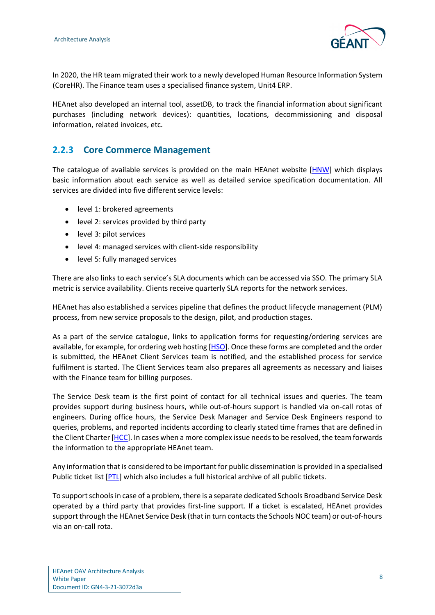

In 2020, the HR team migrated their work to a newly developed Human Resource Information System (CoreHR). The Finance team uses a specialised finance system, Unit4 ERP.

HEAnet also developed an internal tool, assetDB, to track the financial information about significant purchases (including network devices): quantities, locations, decommissioning and disposal information, related invoices, etc.

### <span id="page-9-0"></span>**2.2.3 Core Commerce Management**

The catalogue of available services is provided on the main HEAnet website [\[HNW\]](#page-14-9) which displays basic information about each service as well as detailed service specification documentation. All services are divided into five different service levels:

- level 1: brokered agreements
- level 2: services provided by third party
- level 3: pilot services
- level 4: managed services with client-side responsibility
- level 5: fully managed services

There are also links to each service's SLA documents which can be accessed via SSO. The primary SLA metric is service availability. Clients receive quarterly SLA reports for the network services.

HEAnet has also established a services pipeline that defines the product lifecycle management (PLM) process, from new service proposals to the design, pilot, and production stages.

As a part of the service catalogue, links to application forms for requesting/ordering services are available, for example, for ordering web hosting [\[HSO\]](#page-14-11). Once these forms are completed and the order is submitted, the HEAnet Client Services team is notified, and the established process for service fulfilment is started. The Client Services team also prepares all agreements as necessary and liaises with the Finance team for billing purposes.

The Service Desk team is the first point of contact for all technical issues and queries. The team provides support during business hours, while out-of-hours support is handled via on-call rotas of engineers. During office hours, the Service Desk Manager and Service Desk Engineers respond to queries, problems, and reported incidents according to clearly stated time frames that are defined in the Client Charter [\[HCC\]](#page-14-6). In cases when a more complex issue needs to be resolved, the team forwards the information to the appropriate HEAnet team.

Any information that is considered to be important for public dissemination is provided in a specialised Public ticket list [\[PTL\]](#page-14-12) which also includes a full historical archive of all public tickets.

To support schools in case of a problem, there is a separate dedicated Schools Broadband Service Desk operated by a third party that provides first-line support. If a ticket is escalated, HEAnet provides support through the HEAnet Service Desk (that in turn contacts the Schools NOC team) or out-of-hours via an on-call rota.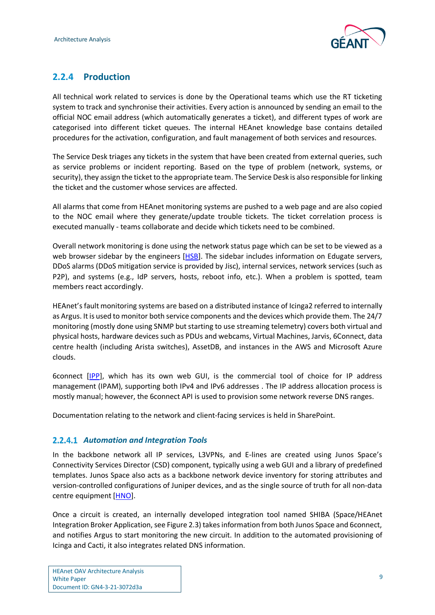

### <span id="page-10-0"></span>**2.2.4 Production**

All technical work related to services is done by the Operational teams which use the RT ticketing system to track and synchronise their activities. Every action is announced by sending an email to the official NOC email address (which automatically generates a ticket), and different types of work are categorised into different ticket queues. The internal HEAnet knowledge base contains detailed procedures for the activation, configuration, and fault management of both services and resources.

The Service Desk triages any tickets in the system that have been created from external queries, such as service problems or incident reporting. Based on the type of problem (network, systems, or security), they assign the ticket to the appropriate team. The Service Desk is also responsible for linking the ticket and the customer whose services are affected.

All alarms that come from HEAnet monitoring systems are pushed to a web page and are also copied to the NOC email where they generate/update trouble tickets. The ticket correlation process is executed manually - teams collaborate and decide which tickets need to be combined.

Overall network monitoring is done using the network status page which can be set to be viewed as a web browser sidebar by the engineers [\[HSB\]](#page-14-13). The sidebar includes information on Edugate servers, DDoS alarms (DDoS mitigation service is provided by Jisc), internal services, network services (such as P2P), and systems (e.g., IdP servers, hosts, reboot info, etc.). When a problem is spotted, team members react accordingly.

HEAnet's fault monitoring systems are based on a distributed instance of Icinga2 referred to internally as Argus. It is used to monitor both service components and the devices which provide them. The 24/7 monitoring (mostly done using SNMP but starting to use streaming telemetry) covers both virtual and physical hosts, hardware devices such as PDUs and webcams, Virtual Machines, Jarvis, 6Connect, data centre health (including Arista switches), AssetDB, and instances in the AWS and Microsoft Azure clouds.

6connect [\[IPP\]](#page-14-14), which has its own web GUI, is the commercial tool of choice for IP address management (IPAM), supporting both IPv4 and IPv6 addresses . The IP address allocation process is mostly manual; however, the 6connect API is used to provision some network reverse DNS ranges.

Documentation relating to the network and client-facing services is held in SharePoint.

#### *Automation and Integration Tools*

In the backbone network all IP services, L3VPNs, and E-lines are created using Junos Space's Connectivity Services Director (CSD) component, typically using a web GUI and a library of predefined templates. Junos Space also acts as a backbone network device inventory for storing attributes and version-controlled configurations of Juniper devices, and as the single source of truth for all non-data centre equipment [\[HNO\]](#page-14-15).

Once a circuit is created, an internally developed integration tool named SHIBA (Space/HEAnet Integration Broker Application, se[e Figure 2.3\)](#page-11-1) takes information from both Junos Space and 6connect, and notifies Argus to start monitoring the new circuit. In addition to the automated provisioning of Icinga and Cacti, it also integrates related DNS information.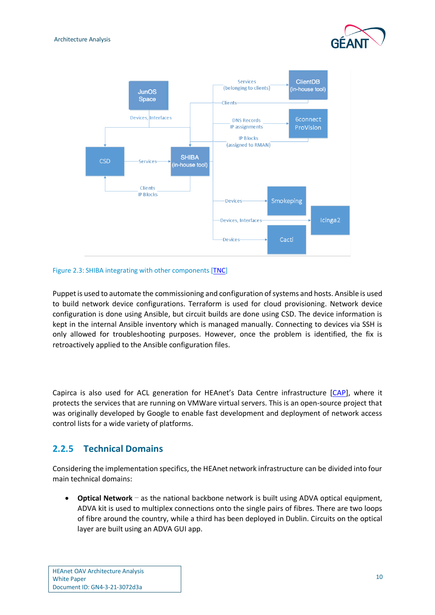



#### <span id="page-11-1"></span>Figure 2.3: SHIBA integrating with other components [\[TNC\]](#page-14-16)

Puppet is used to automate the commissioning and configuration of systems and hosts. Ansible is used to build network device configurations. Terraform is used for cloud provisioning. Network device configuration is done using Ansible, but circuit builds are done using CSD. The device information is kept in the internal Ansible inventory which is managed manually. Connecting to devices via SSH is only allowed for troubleshooting purposes. However, once the problem is identified, the fix is retroactively applied to the Ansible configuration files.

Capirca is also used for ACL generation for HEAnet's Data Centre infrastructure [\[CAP\]](#page-14-17), where it protects the services that are running on VMWare virtual servers. This is an open-source project that was originally developed by Google to enable fast development and deployment of network access control lists for a wide variety of platforms.

#### <span id="page-11-0"></span>**2.2.5 Technical Domains**

Considering the implementation specifics, the HEAnet network infrastructure can be divided into four main technical domains:

• **Optical Network** – as the national backbone network is built using ADVA optical equipment, ADVA kit is used to multiplex connections onto the single pairs of fibres. There are two loops of fibre around the country, while a third has been deployed in Dublin. Circuits on the optical layer are built using an ADVA GUI app.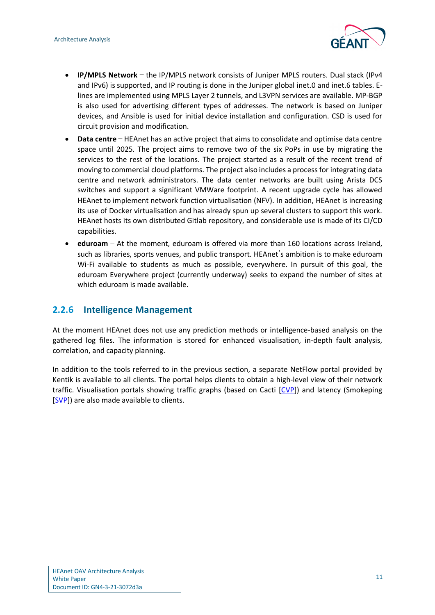![](_page_12_Picture_1.jpeg)

- **IP/MPLS Network** the IP/MPLS network consists of Juniper MPLS routers. Dual stack (IPv4 and IPv6) is supported, and IP routing is done in the Juniper global inet.0 and inet.6 tables. Elines are implemented using MPLS Layer 2 tunnels, and L3VPN services are available. MP-BGP is also used for advertising different types of addresses. The network is based on Juniper devices, and Ansible is used for initial device installation and configuration. CSD is used for circuit provision and modification.
- **Data centre** HEAnet has an active project that aims to consolidate and optimise data centre space until 2025. The project aims to remove two of the six PoPs in use by migrating the services to the rest of the locations. The project started as a result of the recent trend of moving to commercial cloud platforms. The project also includes a process for integrating data centre and network administrators. The data center networks are built using Arista DCS switches and support a significant VMWare footprint. A recent upgrade cycle has allowed HEAnet to implement network function virtualisation (NFV). In addition, HEAnet is increasing its use of Docker virtualisation and has already spun up several clusters to support this work. HEAnet hosts its own distributed Gitlab repository, and considerable use is made of its CI/CD capabilities.
- **eduroam** At the moment, eduroam is offered via more than 160 locations across Ireland, such as libraries, sports venues, and public transport. HEAnet's ambition is to make eduroam Wi-Fi available to students as much as possible, everywhere. In pursuit of this goal, the eduroam Everywhere project (currently underway) seeks to expand the number of sites at which eduroam is made available.

#### <span id="page-12-0"></span>**2.2.6 Intelligence Management**

At the moment HEAnet does not use any prediction methods or intelligence-based analysis on the gathered log files. The information is stored for enhanced visualisation, in-depth fault analysis, correlation, and capacity planning.

In addition to the tools referred to in the previous section, a separate NetFlow portal provided by Kentik is available to all clients. The portal helps clients to obtain a high-level view of their network traffic. Visualisation portals showing traffic graphs (based on Cacti [\[CVP\]](#page-14-18)) and latency (Smokeping [\[SVP\]](#page-14-19)) are also made available to clients.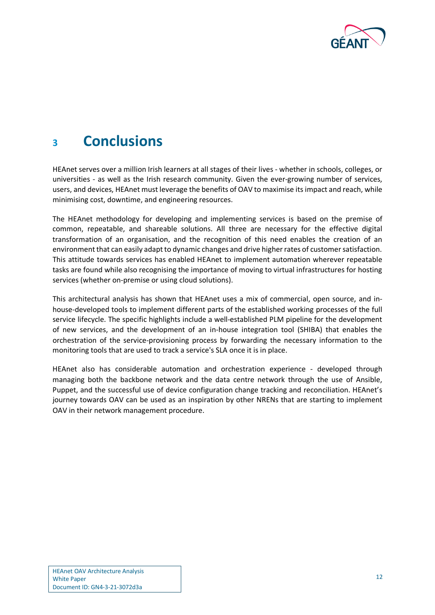![](_page_13_Picture_0.jpeg)

### <span id="page-13-0"></span>**<sup>3</sup> Conclusions**

HEAnet serves over a million Irish learners at all stages of their lives - whether in schools, colleges, or universities - as well as the Irish research community. Given the ever-growing number of services, users, and devices, HEAnet must leverage the benefits of OAV to maximise its impact and reach, while minimising cost, downtime, and engineering resources.

The HEAnet methodology for developing and implementing services is based on the premise of common, repeatable, and shareable solutions. All three are necessary for the effective digital transformation of an organisation, and the recognition of this need enables the creation of an environment that can easily adapt to dynamic changes and drive higher rates of customer satisfaction. This attitude towards services has enabled HEAnet to implement automation wherever repeatable tasks are found while also recognising the importance of moving to virtual infrastructures for hosting services (whether on-premise or using cloud solutions).

This architectural analysis has shown that HEAnet uses a mix of commercial, open source, and inhouse-developed tools to implement different parts of the established working processes of the full service lifecycle. The specific highlights include a well-established PLM pipeline for the development of new services, and the development of an in-house integration tool (SHIBA) that enables the orchestration of the service-provisioning process by forwarding the necessary information to the monitoring tools that are used to track a service's SLA once it is in place.

HEAnet also has considerable automation and orchestration experience - developed through managing both the backbone network and the data centre network through the use of Ansible, Puppet, and the successful use of device configuration change tracking and reconciliation. HEAnet's journey towards OAV can be used as an inspiration by other NRENs that are starting to implement OAV in their network management procedure.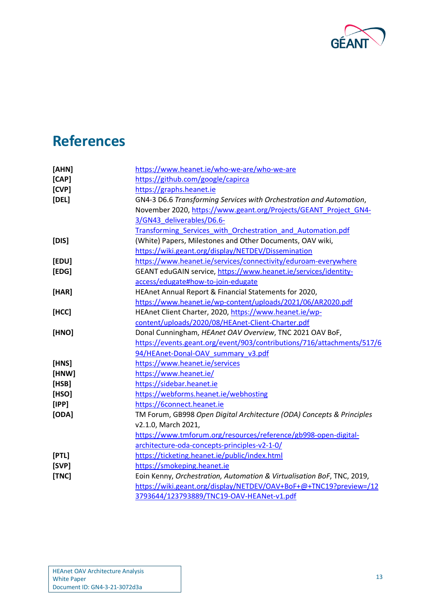![](_page_14_Picture_0.jpeg)

## <span id="page-14-0"></span>**References**

<span id="page-14-19"></span><span id="page-14-18"></span><span id="page-14-17"></span><span id="page-14-16"></span><span id="page-14-15"></span><span id="page-14-14"></span><span id="page-14-13"></span><span id="page-14-12"></span><span id="page-14-11"></span><span id="page-14-10"></span><span id="page-14-9"></span><span id="page-14-8"></span><span id="page-14-7"></span><span id="page-14-6"></span><span id="page-14-5"></span><span id="page-14-4"></span><span id="page-14-3"></span><span id="page-14-2"></span><span id="page-14-1"></span>

| [AHN] | https://www.heanet.ie/who-we-are/who-we-are                            |
|-------|------------------------------------------------------------------------|
| [CAP] | https://github.com/google/capirca                                      |
| [CVP] | https://graphs.heanet.ie                                               |
| [DEL] | GN4-3 D6.6 Transforming Services with Orchestration and Automation,    |
|       | November 2020, https://www.geant.org/Projects/GEANT Project GN4-       |
|       | 3/GN43 deliverables/D6.6-                                              |
|       | Transforming Services with Orchestration and Automation.pdf            |
| [DIS] | (White) Papers, Milestones and Other Documents, OAV wiki,              |
|       | https://wiki.geant.org/display/NETDEV/Dissemination                    |
| [EDU] | https://www.heanet.ie/services/connectivity/eduroam-everywhere         |
| [EDG] | GEANT eduGAIN service, https://www.heanet.ie/services/identity-        |
|       | access/edugate#how-to-join-edugate                                     |
| [HAR] | HEAnet Annual Report & Financial Statements for 2020,                  |
|       | https://www.heanet.ie/wp-content/uploads/2021/06/AR2020.pdf            |
| [HCC] | HEAnet Client Charter, 2020, https://www.heanet.ie/wp-                 |
|       | content/uploads/2020/08/HEAnet-Client-Charter.pdf                      |
| [HNO] | Donal Cunningham, HEAnet OAV Overview, TNC 2021 OAV BoF,               |
|       | https://events.geant.org/event/903/contributions/716/attachments/517/6 |
|       | 94/HEAnet-Donal-OAV summary v3.pdf                                     |
| [HNS] | https://www.heanet.ie/services                                         |
| [HNW] | https://www.heanet.ie/                                                 |
| [HSB] | https://sidebar.heanet.ie                                              |
| [HSO] | https://webforms.heanet.ie/webhosting                                  |
| [IPP] | https://6connect.heanet.ie                                             |
| [ODA] | TM Forum, GB998 Open Digital Architecture (ODA) Concepts & Principles  |
|       | v2.1.0, March 2021,                                                    |
|       | https://www.tmforum.org/resources/reference/gb998-open-digital-        |
|       | architecture-oda-concepts-principles-v2-1-0/                           |
| [PTL] | https://ticketing.heanet.ie/public/index.html                          |
| [SVP] | https://smokeping.heanet.ie                                            |
| [TNC] | Eoin Kenny, Orchestration, Automation & Virtualisation BoF, TNC, 2019, |
|       | https://wiki.geant.org/display/NETDEV/OAV+BoF+@+TNC19?preview=/12      |
|       | 3793644/123793889/TNC19-OAV-HEANet-v1.pdf                              |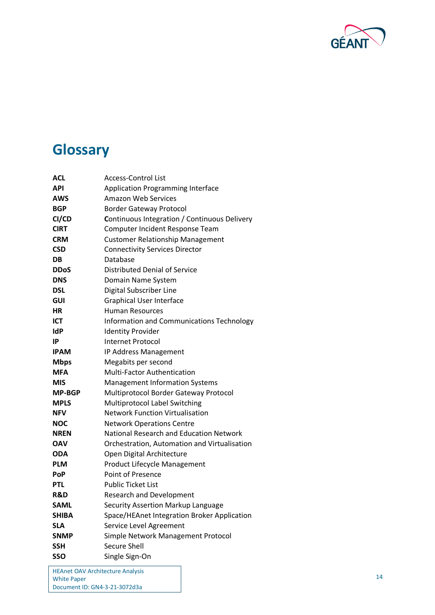![](_page_15_Picture_0.jpeg)

# <span id="page-15-0"></span>**Glossary**

| ACL           | <b>Access-Control List</b>                          |
|---------------|-----------------------------------------------------|
| <b>API</b>    | <b>Application Programming Interface</b>            |
| AWS           | Amazon Web Services                                 |
| <b>BGP</b>    | <b>Border Gateway Protocol</b>                      |
| CI/CD         | <b>Continuous Integration / Continuous Delivery</b> |
| <b>CIRT</b>   | Computer Incident Response Team                     |
| <b>CRM</b>    | <b>Customer Relationship Management</b>             |
| <b>CSD</b>    | <b>Connectivity Services Director</b>               |
| <b>DB</b>     | Database                                            |
| <b>DDoS</b>   | Distributed Denial of Service                       |
| <b>DNS</b>    | Domain Name System                                  |
| <b>DSL</b>    | Digital Subscriber Line                             |
| <b>GUI</b>    | <b>Graphical User Interface</b>                     |
| НR            | <b>Human Resources</b>                              |
| ICT           | Information and Communications Technology           |
| <b>IdP</b>    | <b>Identity Provider</b>                            |
| IP            | <b>Internet Protocol</b>                            |
| <b>IPAM</b>   | IP Address Management                               |
| <b>Mbps</b>   | Megabits per second                                 |
| <b>MFA</b>    | Multi-Factor Authentication                         |
| <b>MIS</b>    | <b>Management Information Systems</b>               |
| <b>MP-BGP</b> | Multiprotocol Border Gateway Protocol               |
| <b>MPLS</b>   | <b>Multiprotocol Label Switching</b>                |
| <b>NFV</b>    | <b>Network Function Virtualisation</b>              |
| NOC           | <b>Network Operations Centre</b>                    |
| <b>NREN</b>   | National Research and Education Network             |
| <b>OAV</b>    | Orchestration, Automation and Virtualisation        |
| <b>ODA</b>    | Open Digital Architecture                           |
| <b>PLM</b>    | Product Lifecycle Management                        |
| PoP           | <b>Point of Presence</b>                            |
| <b>PTL</b>    | <b>Public Ticket List</b>                           |
| R&D           | <b>Research and Development</b>                     |
| <b>SAML</b>   | Security Assertion Markup Language                  |
| <b>SHIBA</b>  | Space/HEAnet Integration Broker Application         |
| <b>SLA</b>    | Service Level Agreement                             |
| <b>SNMP</b>   | Simple Network Management Protocol                  |
| <b>SSH</b>    | <b>Secure Shell</b>                                 |
| SSO           | Single Sign-On                                      |